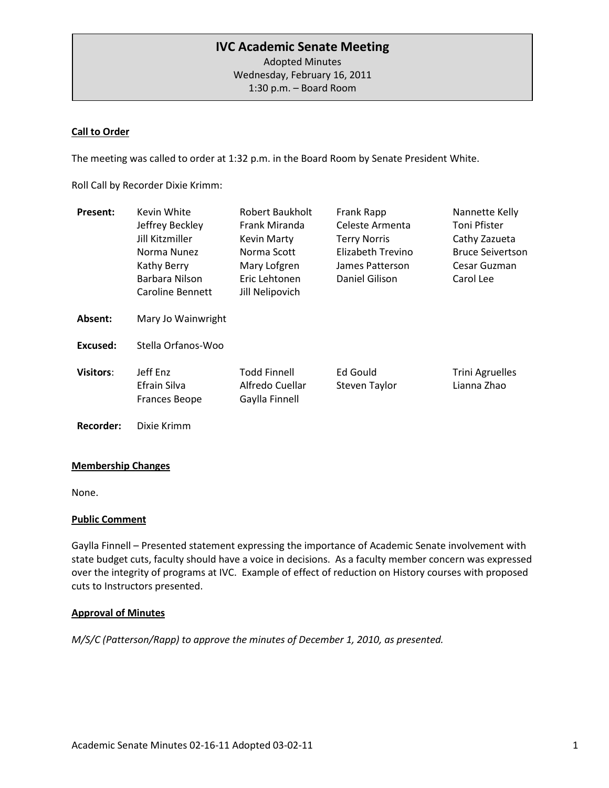# **IVC Academic Senate Meeting**

Adopted Minutes Wednesday, February 16, 2011 1:30 p.m. – Board Room

### **Call to Order**

The meeting was called to order at 1:32 p.m. in the Board Room by Senate President White.

Roll Call by Recorder Dixie Krimm:

| <b>Present:</b>  | Kevin White                               | Robert Baukholt                                          | Frank Rapp                | Nannette Kelly                        |
|------------------|-------------------------------------------|----------------------------------------------------------|---------------------------|---------------------------------------|
|                  | Jeffrey Beckley                           | Frank Miranda                                            | Celeste Armenta           | Toni Pfister                          |
|                  | Jill Kitzmiller                           | <b>Kevin Marty</b>                                       | <b>Terry Norris</b>       | Cathy Zazueta                         |
|                  | Norma Nunez                               | Norma Scott                                              | Elizabeth Trevino         | <b>Bruce Seivertson</b>               |
|                  | Kathy Berry                               | Mary Lofgren                                             | James Patterson           | Cesar Guzman                          |
|                  | Barbara Nilson                            | Eric Lehtonen                                            | Daniel Gilison            | Carol Lee                             |
|                  | <b>Caroline Bennett</b>                   | Jill Nelipovich                                          |                           |                                       |
| Absent:          | Mary Jo Wainwright                        |                                                          |                           |                                       |
| Excused:         | Stella Orfanos-Woo                        |                                                          |                           |                                       |
| <b>Visitors:</b> | Jeff Enz<br>Efrain Silva<br>Frances Beope | <b>Todd Finnell</b><br>Alfredo Cuellar<br>Gaylla Finnell | Ed Gould<br>Steven Taylor | <b>Trini Agruelles</b><br>Lianna Zhao |
| Recorder:        | Dixie Krimm                               |                                                          |                           |                                       |

## **Membership Changes**

None.

### **Public Comment**

Gaylla Finnell – Presented statement expressing the importance of Academic Senate involvement with state budget cuts, faculty should have a voice in decisions. As a faculty member concern was expressed over the integrity of programs at IVC. Example of effect of reduction on History courses with proposed cuts to Instructors presented.

### **Approval of Minutes**

*M/S/C (Patterson/Rapp) to approve the minutes of December 1, 2010, as presented.*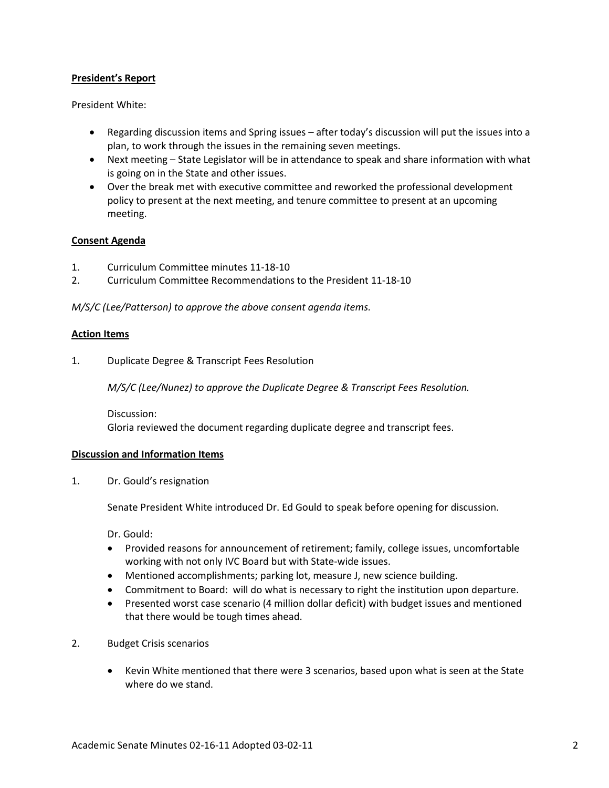### **President's Report**

President White:

- Regarding discussion items and Spring issues after today's discussion will put the issues into a plan, to work through the issues in the remaining seven meetings.
- Next meeting State Legislator will be in attendance to speak and share information with what is going on in the State and other issues.
- Over the break met with executive committee and reworked the professional development policy to present at the next meeting, and tenure committee to present at an upcoming meeting.

### **Consent Agenda**

- 1. Curriculum Committee minutes 11-18-10
- 2. Curriculum Committee Recommendations to the President 11-18-10

*M/S/C (Lee/Patterson) to approve the above consent agenda items.*

#### **Action Items**

1. Duplicate Degree & Transcript Fees Resolution

*M/S/C (Lee/Nunez) to approve the Duplicate Degree & Transcript Fees Resolution.*

Discussion: Gloria reviewed the document regarding duplicate degree and transcript fees.

### **Discussion and Information Items**

1. Dr. Gould's resignation

Senate President White introduced Dr. Ed Gould to speak before opening for discussion.

Dr. Gould:

- Provided reasons for announcement of retirement; family, college issues, uncomfortable working with not only IVC Board but with State-wide issues.
- Mentioned accomplishments; parking lot, measure J, new science building.
- Commitment to Board: will do what is necessary to right the institution upon departure.
- Presented worst case scenario (4 million dollar deficit) with budget issues and mentioned that there would be tough times ahead.
- 2. Budget Crisis scenarios
	- Kevin White mentioned that there were 3 scenarios, based upon what is seen at the State where do we stand.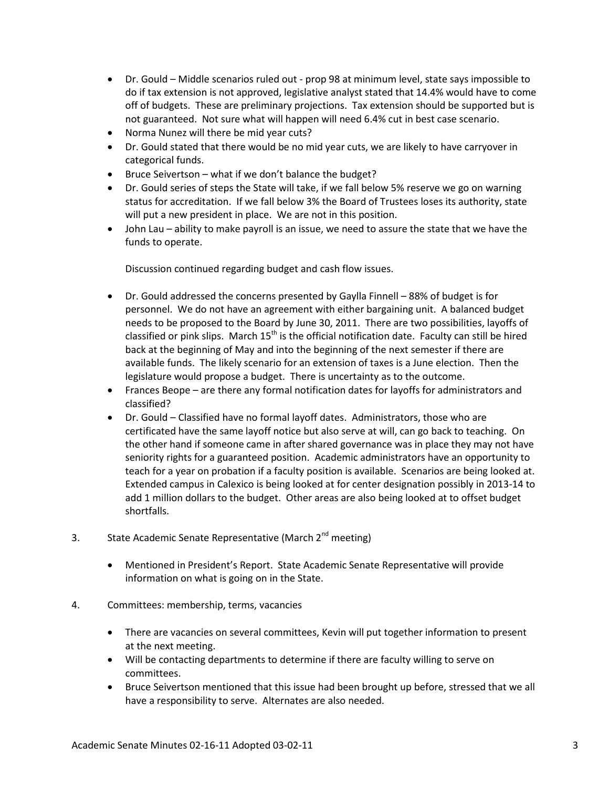- Dr. Gould Middle scenarios ruled out prop 98 at minimum level, state says impossible to do if tax extension is not approved, legislative analyst stated that 14.4% would have to come off of budgets. These are preliminary projections. Tax extension should be supported but is not guaranteed. Not sure what will happen will need 6.4% cut in best case scenario.
- Norma Nunez will there be mid year cuts?
- Dr. Gould stated that there would be no mid year cuts, we are likely to have carryover in categorical funds.
- Bruce Seivertson what if we don't balance the budget?
- Dr. Gould series of steps the State will take, if we fall below 5% reserve we go on warning status for accreditation. If we fall below 3% the Board of Trustees loses its authority, state will put a new president in place. We are not in this position.
- John Lau ability to make payroll is an issue, we need to assure the state that we have the funds to operate.

Discussion continued regarding budget and cash flow issues.

- Dr. Gould addressed the concerns presented by Gaylla Finnell 88% of budget is for personnel. We do not have an agreement with either bargaining unit. A balanced budget needs to be proposed to the Board by June 30, 2011. There are two possibilities, layoffs of classified or pink slips. March  $15<sup>th</sup>$  is the official notification date. Faculty can still be hired back at the beginning of May and into the beginning of the next semester if there are available funds. The likely scenario for an extension of taxes is a June election. Then the legislature would propose a budget. There is uncertainty as to the outcome.
- Frances Beope are there any formal notification dates for layoffs for administrators and classified?
- Dr. Gould Classified have no formal layoff dates. Administrators, those who are certificated have the same layoff notice but also serve at will, can go back to teaching. On the other hand if someone came in after shared governance was in place they may not have seniority rights for a guaranteed position. Academic administrators have an opportunity to teach for a year on probation if a faculty position is available. Scenarios are being looked at. Extended campus in Calexico is being looked at for center designation possibly in 2013-14 to add 1 million dollars to the budget. Other areas are also being looked at to offset budget shortfalls.
- 3. State Academic Senate Representative (March 2<sup>nd</sup> meeting)
	- Mentioned in President's Report. State Academic Senate Representative will provide information on what is going on in the State.
- 4. Committees: membership, terms, vacancies
	- There are vacancies on several committees, Kevin will put together information to present at the next meeting.
	- Will be contacting departments to determine if there are faculty willing to serve on committees.
	- Bruce Seivertson mentioned that this issue had been brought up before, stressed that we all have a responsibility to serve. Alternates are also needed.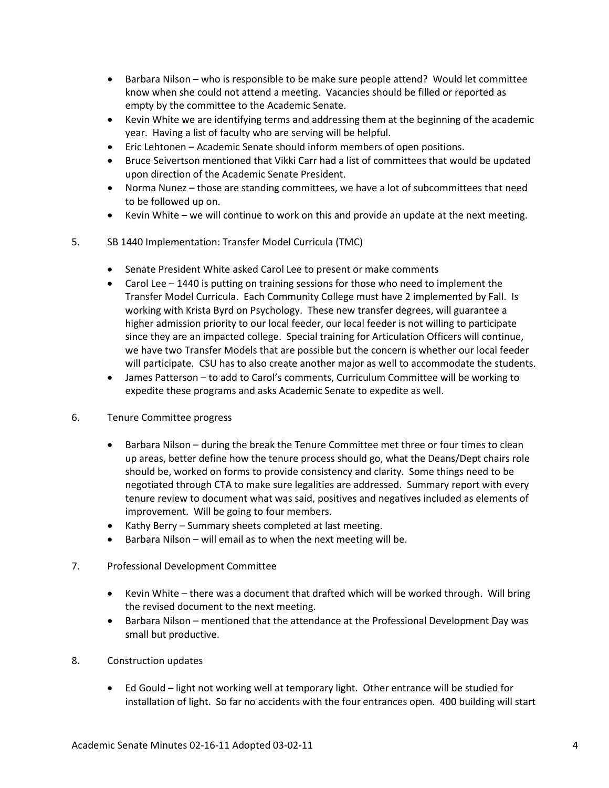- Barbara Nilson who is responsible to be make sure people attend? Would let committee know when she could not attend a meeting. Vacancies should be filled or reported as empty by the committee to the Academic Senate.
- Kevin White we are identifying terms and addressing them at the beginning of the academic year. Having a list of faculty who are serving will be helpful.
- Eric Lehtonen Academic Senate should inform members of open positions.
- Bruce Seivertson mentioned that Vikki Carr had a list of committees that would be updated upon direction of the Academic Senate President.
- Norma Nunez those are standing committees, we have a lot of subcommittees that need to be followed up on.
- Kevin White we will continue to work on this and provide an update at the next meeting.
- 5. SB 1440 Implementation: Transfer Model Curricula (TMC)
	- Senate President White asked Carol Lee to present or make comments
	- Carol Lee 1440 is putting on training sessions for those who need to implement the Transfer Model Curricula. Each Community College must have 2 implemented by Fall. Is working with Krista Byrd on Psychology. These new transfer degrees, will guarantee a higher admission priority to our local feeder, our local feeder is not willing to participate since they are an impacted college. Special training for Articulation Officers will continue, we have two Transfer Models that are possible but the concern is whether our local feeder will participate. CSU has to also create another major as well to accommodate the students.
	- James Patterson to add to Carol's comments, Curriculum Committee will be working to expedite these programs and asks Academic Senate to expedite as well.
- 6. Tenure Committee progress
	- Barbara Nilson during the break the Tenure Committee met three or four times to clean up areas, better define how the tenure process should go, what the Deans/Dept chairs role should be, worked on forms to provide consistency and clarity. Some things need to be negotiated through CTA to make sure legalities are addressed. Summary report with every tenure review to document what was said, positives and negatives included as elements of improvement. Will be going to four members.
	- Kathy Berry Summary sheets completed at last meeting.
	- Barbara Nilson will email as to when the next meeting will be.
- 7. Professional Development Committee
	- Kevin White there was a document that drafted which will be worked through. Will bring the revised document to the next meeting.
	- Barbara Nilson mentioned that the attendance at the Professional Development Day was small but productive.
- 8. Construction updates
	- Ed Gould light not working well at temporary light. Other entrance will be studied for installation of light. So far no accidents with the four entrances open. 400 building will start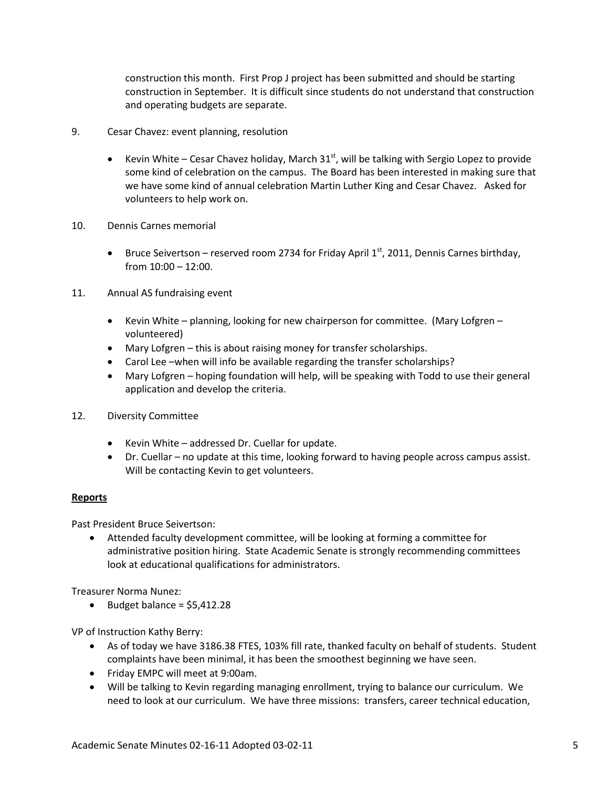construction this month. First Prop J project has been submitted and should be starting construction in September. It is difficult since students do not understand that construction and operating budgets are separate.

- 9. Cesar Chavez: event planning, resolution
	- Kevin White Cesar Chavez holiday, March  $31<sup>st</sup>$ , will be talking with Sergio Lopez to provide some kind of celebration on the campus. The Board has been interested in making sure that we have some kind of annual celebration Martin Luther King and Cesar Chavez. Asked for volunteers to help work on.
- 10. Dennis Carnes memorial
	- Bruce Seivertson reserved room 2734 for Friday April  $1<sup>st</sup>$ , 2011, Dennis Carnes birthday, from 10:00 – 12:00.
- 11. Annual AS fundraising event
	- Kevin White planning, looking for new chairperson for committee. (Mary Lofgren volunteered)
	- Mary Lofgren this is about raising money for transfer scholarships.
	- Carol Lee –when will info be available regarding the transfer scholarships?
	- Mary Lofgren hoping foundation will help, will be speaking with Todd to use their general application and develop the criteria.
- 12. Diversity Committee
	- Kevin White addressed Dr. Cuellar for update.
	- Dr. Cuellar no update at this time, looking forward to having people across campus assist. Will be contacting Kevin to get volunteers.

## **Reports**

Past President Bruce Seivertson:

• Attended faculty development committee, will be looking at forming a committee for administrative position hiring. State Academic Senate is strongly recommending committees look at educational qualifications for administrators.

Treasurer Norma Nunez:

• Budget balance =  $$5,412.28$ 

VP of Instruction Kathy Berry:

- As of today we have 3186.38 FTES, 103% fill rate, thanked faculty on behalf of students. Student complaints have been minimal, it has been the smoothest beginning we have seen.
- Friday EMPC will meet at 9:00am.
- Will be talking to Kevin regarding managing enrollment, trying to balance our curriculum. We need to look at our curriculum. We have three missions: transfers, career technical education,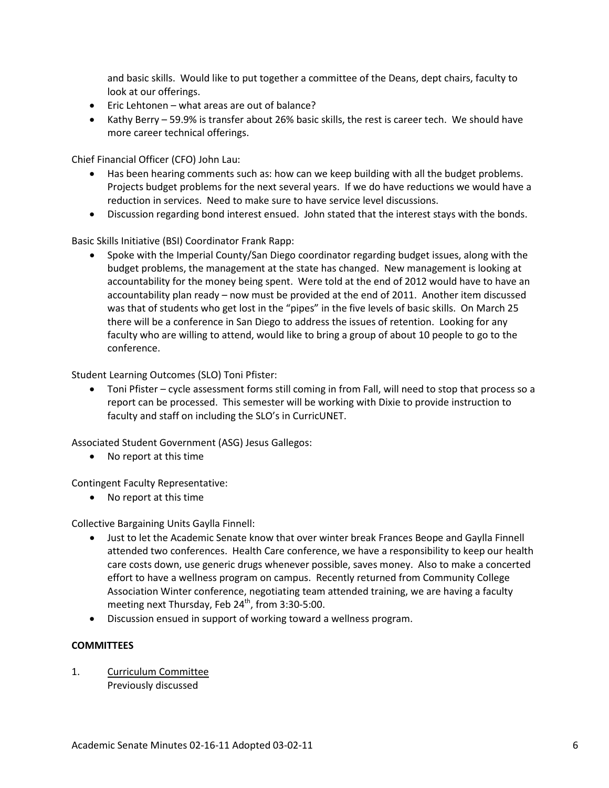and basic skills. Would like to put together a committee of the Deans, dept chairs, faculty to look at our offerings.

- Eric Lehtonen what areas are out of balance?
- Kathy Berry 59.9% is transfer about 26% basic skills, the rest is career tech. We should have more career technical offerings.

Chief Financial Officer (CFO) John Lau:

- Has been hearing comments such as: how can we keep building with all the budget problems. Projects budget problems for the next several years. If we do have reductions we would have a reduction in services. Need to make sure to have service level discussions.
- Discussion regarding bond interest ensued. John stated that the interest stays with the bonds.

Basic Skills Initiative (BSI) Coordinator Frank Rapp:

• Spoke with the Imperial County/San Diego coordinator regarding budget issues, along with the budget problems, the management at the state has changed. New management is looking at accountability for the money being spent. Were told at the end of 2012 would have to have an accountability plan ready – now must be provided at the end of 2011. Another item discussed was that of students who get lost in the "pipes" in the five levels of basic skills. On March 25 there will be a conference in San Diego to address the issues of retention. Looking for any faculty who are willing to attend, would like to bring a group of about 10 people to go to the conference.

Student Learning Outcomes (SLO) Toni Pfister:

• Toni Pfister – cycle assessment forms still coming in from Fall, will need to stop that process so a report can be processed. This semester will be working with Dixie to provide instruction to faculty and staff on including the SLO's in CurricUNET.

Associated Student Government (ASG) Jesus Gallegos:

• No report at this time

Contingent Faculty Representative:

• No report at this time

Collective Bargaining Units Gaylla Finnell:

- Just to let the Academic Senate know that over winter break Frances Beope and Gaylla Finnell attended two conferences. Health Care conference, we have a responsibility to keep our health care costs down, use generic drugs whenever possible, saves money. Also to make a concerted effort to have a wellness program on campus. Recently returned from Community College Association Winter conference, negotiating team attended training, we are having a faculty meeting next Thursday, Feb 24<sup>th</sup>, from 3:30-5:00.
- Discussion ensued in support of working toward a wellness program.

#### **COMMITTEES**

1. Curriculum Committee Previously discussed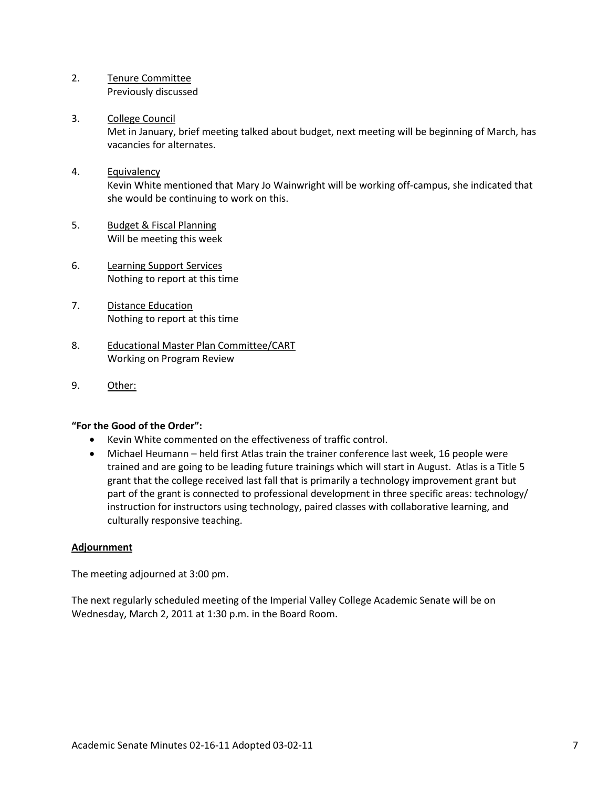- 2. Tenure Committee Previously discussed
- 3. College Council Met in January, brief meeting talked about budget, next meeting will be beginning of March, has vacancies for alternates.
- 4. Equivalency Kevin White mentioned that Mary Jo Wainwright will be working off-campus, she indicated that she would be continuing to work on this.
- 5. Budget & Fiscal Planning Will be meeting this week
- 6. Learning Support Services Nothing to report at this time
- 7. Distance Education Nothing to report at this time
- 8. Educational Master Plan Committee/CART Working on Program Review
- 9. Other:

### **"For the Good of the Order":**

- Kevin White commented on the effectiveness of traffic control.
- Michael Heumann held first Atlas train the trainer conference last week, 16 people were trained and are going to be leading future trainings which will start in August. Atlas is a Title 5 grant that the college received last fall that is primarily a technology improvement grant but part of the grant is connected to professional development in three specific areas: technology/ instruction for instructors using technology, paired classes with collaborative learning, and culturally responsive teaching.

### **Adjournment**

The meeting adjourned at 3:00 pm.

The next regularly scheduled meeting of the Imperial Valley College Academic Senate will be on Wednesday, March 2, 2011 at 1:30 p.m. in the Board Room.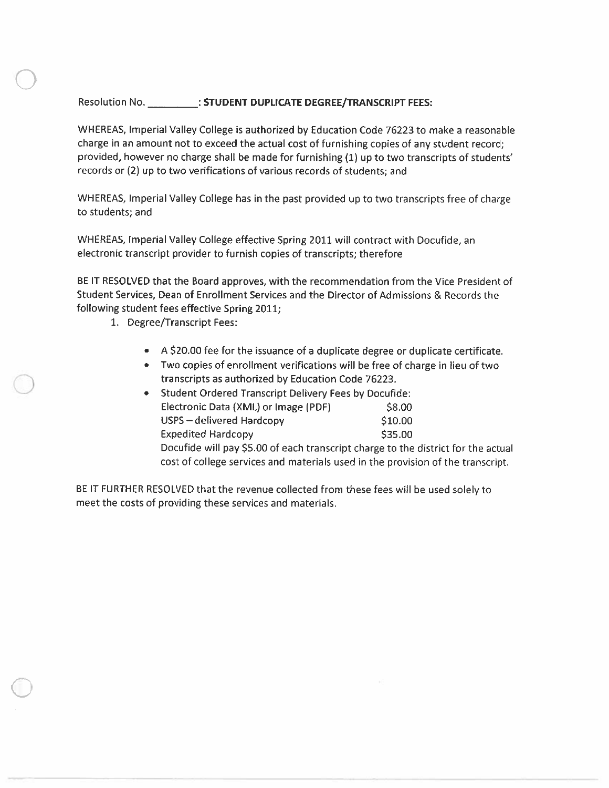### Resolution No. \_\_\_\_\_\_\_\_\_\_\_: STUDENT DUPLICATE DEGREE/TRANSCRIPT FEES:

WHEREAS, Imperial Valley College is authorized by Education Code 76223 to make a reasonable charge in an amount not to exceed the actual cost of furnishing copies of any student record; provided, however no charge shall be made for furnishing (1) up to two transcripts of students' records or (2) up to two verifications of various records of students; and

WHEREAS, Imperial Valley College has in the past provided up to two transcripts free of charge to students; and

WHEREAS, Imperial Valley College effective Spring 2011 will contract with Docufide, an electronic transcript provider to furnish copies of transcripts; therefore

BE IT RESOLVED that the Board approves, with the recommendation from the Vice President of Student Services, Dean of Enrollment Services and the Director of Admissions & Records the following student fees effective Spring 2011;

- 1. Degree/Transcript Fees:
	- A \$20.00 fee for the issuance of a duplicate degree or duplicate certificate.
	- Two copies of enrollment verifications will be free of charge in lieu of two transcripts as authorized by Education Code 76223.

| • Student Ordered Transcript Delivery Fees by Docufide:                           |         |  |  |  |
|-----------------------------------------------------------------------------------|---------|--|--|--|
| Electronic Data (XML) or Image (PDF)                                              | \$8.00  |  |  |  |
| USPS - delivered Hardcopy                                                         | \$10.00 |  |  |  |
| <b>Expedited Hardcopy</b>                                                         | \$35.00 |  |  |  |
| Docufide will pay \$5.00 of each transcript charge to the district for the actual |         |  |  |  |
| cost of college services and materials used in the provision of the transcript.   |         |  |  |  |

BE IT FURTHER RESOLVED that the revenue collected from these fees will be used solely to meet the costs of providing these services and materials.